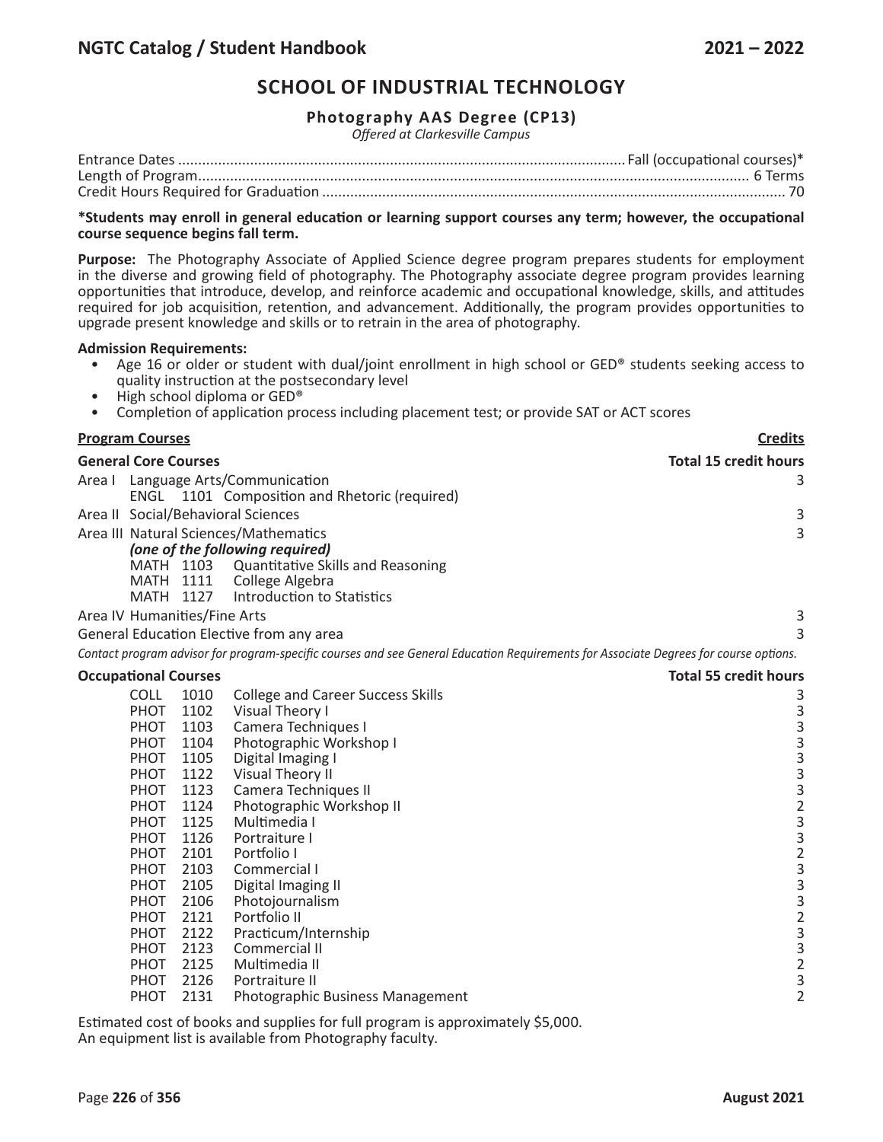# **SCHOOL OF INDUSTRIAL TECHNOLOGY**

## **Photography AAS Degree (CP13)**

*Offered at Clarkesville Campus*

### **\*Students may enroll in general education or learning support courses any term; however, the occupational course sequence begins fall term.**

**Purpose:** The Photography Associate of Applied Science degree program prepares students for employment in the diverse and growing field of photography. The Photography associate degree program provides learning opportunities that introduce, develop, and reinforce academic and occupational knowledge, skills, and attitudes required for job acquisition, retention, and advancement. Additionally, the program provides opportunities to upgrade present knowledge and skills or to retrain in the area of photography.

### **Admission Requirements:**

- Age 16 or older or student with dual/joint enrollment in high school or GED® students seeking access to quality instruction at the postsecondary level<br>High school diploma or GED®
- 
- Completion of application process including placement test; or provide SAT or ACT scores

| <b>Program Courses</b>                                                                                                                                                                                                                                                                                                                                                        |                                                                                                                                                                                                                                                                                                                                                                                                                                                     | <b>Credits</b>                                                                                                                                                                                                                                                |
|-------------------------------------------------------------------------------------------------------------------------------------------------------------------------------------------------------------------------------------------------------------------------------------------------------------------------------------------------------------------------------|-----------------------------------------------------------------------------------------------------------------------------------------------------------------------------------------------------------------------------------------------------------------------------------------------------------------------------------------------------------------------------------------------------------------------------------------------------|---------------------------------------------------------------------------------------------------------------------------------------------------------------------------------------------------------------------------------------------------------------|
| <b>General Core Courses</b>                                                                                                                                                                                                                                                                                                                                                   |                                                                                                                                                                                                                                                                                                                                                                                                                                                     | <b>Total 15 credit hours</b>                                                                                                                                                                                                                                  |
| Area I                                                                                                                                                                                                                                                                                                                                                                        | Language Arts/Communication<br>ENGL 1101 Composition and Rhetoric (required)                                                                                                                                                                                                                                                                                                                                                                        | 3                                                                                                                                                                                                                                                             |
| Area II Social/Behavioral Sciences                                                                                                                                                                                                                                                                                                                                            |                                                                                                                                                                                                                                                                                                                                                                                                                                                     | 3                                                                                                                                                                                                                                                             |
| Area III Natural Sciences/Mathematics<br>MATH 1103<br><b>MATH 1111</b><br>MATH 1127                                                                                                                                                                                                                                                                                           | (one of the following required)<br>Quantitative Skills and Reasoning<br>College Algebra<br>Introduction to Statistics                                                                                                                                                                                                                                                                                                                               | 3                                                                                                                                                                                                                                                             |
| Area IV Humanities/Fine Arts                                                                                                                                                                                                                                                                                                                                                  |                                                                                                                                                                                                                                                                                                                                                                                                                                                     | 3                                                                                                                                                                                                                                                             |
| General Education Elective from any area                                                                                                                                                                                                                                                                                                                                      |                                                                                                                                                                                                                                                                                                                                                                                                                                                     | 3                                                                                                                                                                                                                                                             |
|                                                                                                                                                                                                                                                                                                                                                                               | Contact program advisor for program-specific courses and see General Education Requirements for Associate Degrees for course options.                                                                                                                                                                                                                                                                                                               |                                                                                                                                                                                                                                                               |
| <b>Occupational Courses</b>                                                                                                                                                                                                                                                                                                                                                   |                                                                                                                                                                                                                                                                                                                                                                                                                                                     | <b>Total 55 credit hours</b>                                                                                                                                                                                                                                  |
| <b>COLL</b><br>1010<br>PHOT<br>1102<br>PHOT<br>1103<br>PHOT<br>1104<br>PHOT<br>1105<br>PHOT<br>1122<br><b>PHOT</b><br>1123<br><b>PHOT</b><br>1124<br>1125<br><b>PHOT</b><br>1126<br><b>PHOT</b><br>PHOT<br>2101<br><b>PHOT</b><br>2103<br>PHOT<br>2105<br>PHOT<br>2106<br>2121<br>PHOT<br>2122<br>PHOT<br>2123<br>PHOT<br>2125<br>PHOT<br>2126<br>PHOT<br><b>PHOT</b><br>2131 | <b>College and Career Success Skills</b><br>Visual Theory I<br>Camera Techniques I<br>Photographic Workshop I<br>Digital Imaging I<br>Visual Theory II<br>Camera Techniques II<br>Photographic Workshop II<br>Multimedia I<br>Portraiture I<br>Portfolio I<br>Commercial I<br>Digital Imaging II<br>Photojournalism<br>Portfolio II<br>Practicum/Internship<br>Commercial II<br>Multimedia II<br>Portraiture II<br>Photographic Business Management | 3<br>$\begin{array}{c} 3 \\ 3 \\ 3 \end{array}$<br>$\begin{array}{c}\n 3 \\ 2 \\ 3 \\ 3\n \end{array}$<br>$\overline{c}$<br>$\overline{3}$<br>$\begin{array}{c} 3 \\ 3 \\ 2 \end{array}$<br>$\begin{array}{c} 3 \\ 3 \\ 2 \end{array}$<br>3<br>$\overline{2}$ |

Estimated cost of books and supplies for full program is approximately \$5,000. An equipment list is available from Photography faculty.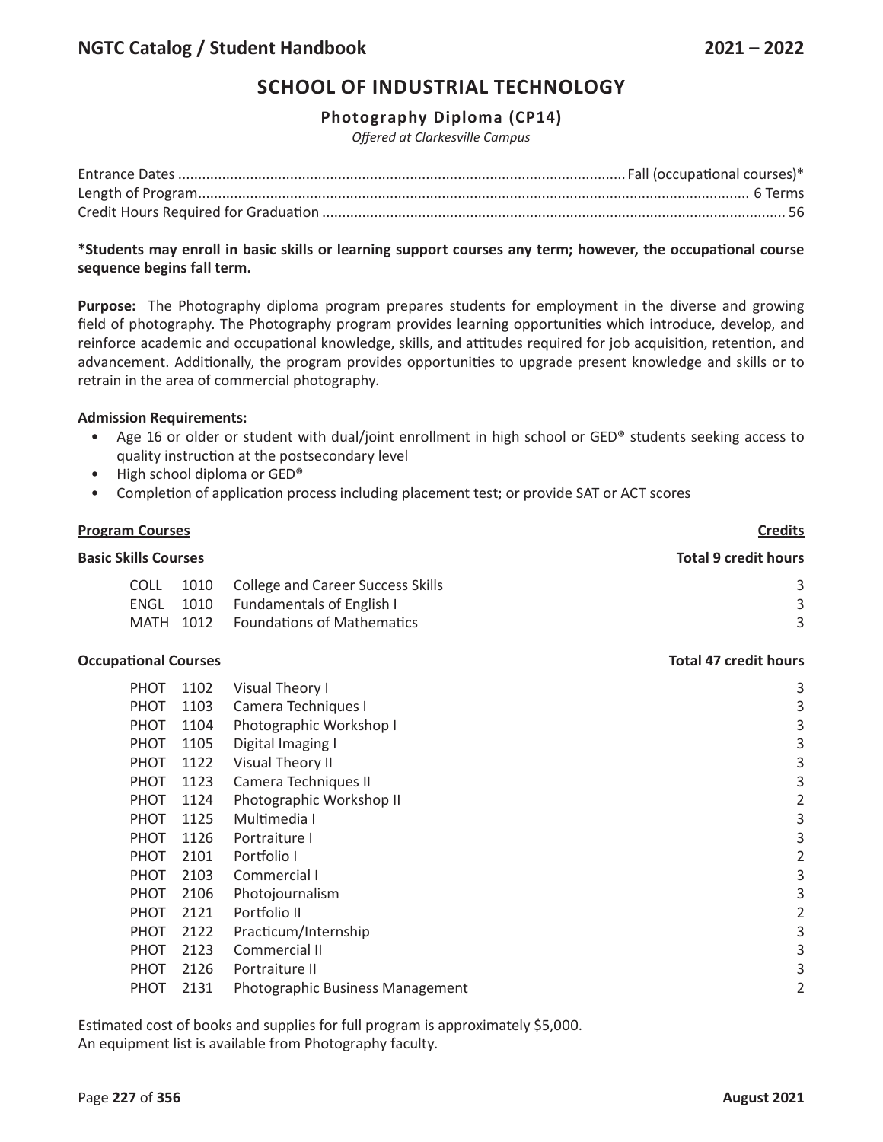# **SCHOOL OF INDUSTRIAL TECHNOLOGY**

# **Photography Diploma (CP14)**

*Offered at Clarkesville Campus*

## **\*Students may enroll in basic skills or learning support courses any term; however, the occupational course sequence begins fall term.**

**Purpose:** The Photography diploma program prepares students for employment in the diverse and growing field of photography. The Photography program provides learning opportunities which introduce, develop, and reinforce academic and occupational knowledge, skills, and attitudes required for job acquisition, retention, and advancement. Additionally, the program provides opportunities to upgrade present knowledge and skills or to retrain in the area of commercial photography.

## **Admission Requirements:**

- Age 16 or older or student with dual/joint enrollment in high school or GED® students seeking access to quality instruction at the postsecondary level
- High school diploma or GED®
- Completion of application process including placement test; or provide SAT or ACT scores

## **Program Courses Credits**

# **Basic Skills Courses Total 9 credit hours**

|  | COLL 1010 College and Career Success Skills |  |
|--|---------------------------------------------|--|
|  | ENGL 1010 Fundamentals of English I         |  |
|  | MATH 1012 Foundations of Mathematics        |  |

### **Occupational Courses Total 47 credit hours**

| <b>PHOT</b> | 1102 | Visual Theory I                  | 3 |
|-------------|------|----------------------------------|---|
| PHOT        | 1103 | Camera Techniques I              | 3 |
| <b>PHOT</b> | 1104 | Photographic Workshop I          | 3 |
| <b>PHOT</b> | 1105 | Digital Imaging I                | 3 |
| <b>PHOT</b> | 1122 | <b>Visual Theory II</b>          | 3 |
| <b>PHOT</b> | 1123 | Camera Techniques II             | 3 |
| <b>PHOT</b> | 1124 | Photographic Workshop II         | 2 |
| <b>PHOT</b> | 1125 | Multimedia I                     | 3 |
| <b>PHOT</b> | 1126 | Portraiture I                    | 3 |
| <b>PHOT</b> | 2101 | Portfolio I                      | 2 |
| <b>PHOT</b> | 2103 | Commercial I                     | 3 |
| PHOT        | 2106 | Photojournalism                  | 3 |
| <b>PHOT</b> | 2121 | Portfolio II                     | 2 |
| PHOT        | 2122 | Practicum/Internship             | 3 |
| <b>PHOT</b> | 2123 | Commercial II                    | 3 |
| <b>PHOT</b> | 2126 | Portraiture II                   | 3 |
| <b>PHOT</b> | 2131 | Photographic Business Management |   |
|             |      |                                  |   |

Estimated cost of books and supplies for full program is approximately \$5,000. An equipment list is available from Photography faculty.